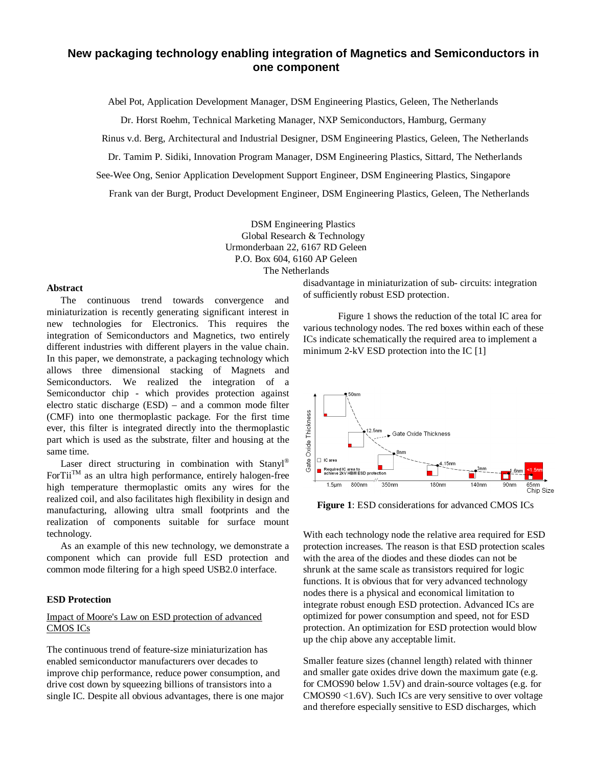# **New packaging technology enabling integration of Magnetics and Semiconductors in one component**

Abel Pot, Application Development Manager, DSM Engineering Plastics, Geleen, The Netherlands

Dr. Horst Roehm, Technical Marketing Manager, NXP Semiconductors, Hamburg, Germany

Rinus v.d. Berg, Architectural and Industrial Designer, DSM Engineering Plastics, Geleen, The Netherlands

Dr. Tamim P. Sidiki, Innovation Program Manager, DSM Engineering Plastics, Sittard, The Netherlands

See-Wee Ong, Senior Application Development Support Engineer, DSM Engineering Plastics, Singapore

Frank van der Burgt, Product Development Engineer, DSM Engineering Plastics, Geleen, The Netherlands

DSM Engineering Plastics Global Research & Technology Urmonderbaan 22, 6167 RD Geleen P.O. Box 604, 6160 AP Geleen The Netherlands

#### **Abstract**

The continuous trend towards convergence and miniaturization is recently generating significant interest in new technologies for Electronics. This requires the integration of Semiconductors and Magnetics, two entirely different industries with different players in the value chain. In this paper, we demonstrate, a packaging technology which allows three dimensional stacking of Magnets and Semiconductors. We realized the integration of a Semiconductor chip - which provides protection against electro static discharge (ESD) – and a common mode filter (CMF) into one thermoplastic package. For the first time ever, this filter is integrated directly into the thermoplastic part which is used as the substrate, filter and housing at the same time.

Laser direct structuring in combination with Stanyl®  $\text{ForTi}^{\text{TM}}$  as an ultra high performance, entirely halogen-free high temperature thermoplastic omits any wires for the realized coil, and also facilitates high flexibility in design and manufacturing, allowing ultra small footprints and the realization of components suitable for surface mount technology.

As an example of this new technology, we demonstrate a component which can provide full ESD protection and common mode filtering for a high speed USB2.0 interface.

#### **ESD Protection**

# Impact of Moore's Law on ESD protection of advanced CMOS ICs

The continuous trend of feature-size miniaturization has enabled semiconductor manufacturers over decades to improve chip performance, reduce power consumption, and drive cost down by squeezing billions of transistors into a single IC. Despite all obvious advantages, there is one major disadvantage in miniaturization of sub- circuits: integration of sufficiently robust ESD protection.

Figure 1 shows the reduction of the total IC area for various technology nodes. The red boxes within each of these ICs indicate schematically the required area to implement a minimum 2-kV ESD protection into the IC [1]



**Figure 1**: ESD considerations for advanced CMOS ICs

With each technology node the relative area required for ESD protection increases. The reason is that ESD protection scales with the area of the diodes and these diodes can not be shrunk at the same scale as transistors required for logic functions. It is obvious that for very advanced technology nodes there is a physical and economical limitation to integrate robust enough ESD protection. Advanced ICs are optimized for power consumption and speed, not for ESD protection. An optimization for ESD protection would blow up the chip above any acceptable limit.

Smaller feature sizes (channel length) related with thinner and smaller gate oxides drive down the maximum gate (e.g. for CMOS90 below 1.5V) and drain-source voltages (e.g. for CMOS90 <1.6V). Such ICs are very sensitive to over voltage and therefore especially sensitive to ESD discharges, which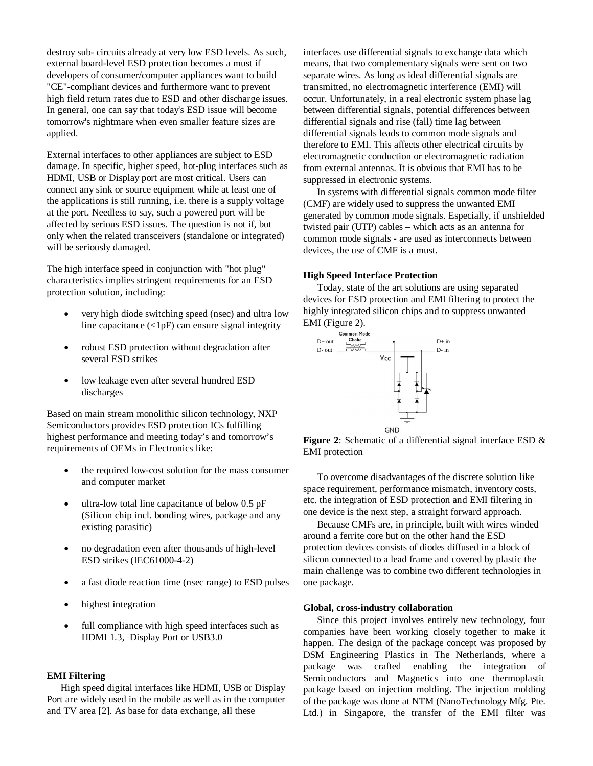destroy sub- circuits already at very low ESD levels. As such, external board-level ESD protection becomes a must if developers of consumer/computer appliances want to build "CE"-compliant devices and furthermore want to prevent high field return rates due to ESD and other discharge issues. In general, one can say that today's ESD issue will become tomorrow's nightmare when even smaller feature sizes are applied.

External interfaces to other appliances are subject to ESD damage. In specific, higher speed, hot-plug interfaces such as HDMI, USB or Display port are most critical. Users can connect any sink or source equipment while at least one of the applications is still running, i.e. there is a supply voltage at the port. Needless to say, such a powered port will be affected by serious ESD issues. The question is not if, but only when the related transceivers (standalone or integrated) will be seriously damaged.

The high interface speed in conjunction with "hot plug" characteristics implies stringent requirements for an ESD protection solution, including:

- x very high diode switching speed (nsec) and ultra low line capacitance  $(\langle 1pF \rangle)$  can ensure signal integrity
- robust ESD protection without degradation after several ESD strikes
- low leakage even after several hundred ESD discharges

Based on main stream monolithic silicon technology, NXP Semiconductors provides ESD protection ICs fulfilling highest performance and meeting today's and tomorrow's requirements of OEMs in Electronics like:

- the required low-cost solution for the mass consumer and computer market
- ultra-low total line capacitance of below  $0.5$  pF (Silicon chip incl. bonding wires, package and any existing parasitic)
- no degradation even after thousands of high-level ESD strikes (IEC61000-4-2)
- x a fast diode reaction time (nsec range) to ESD pulses
- highest integration
- full compliance with high speed interfaces such as HDMI 1.3, Display Port or USB3.0

## **EMI Filtering**

High speed digital interfaces like HDMI, USB or Display Port are widely used in the mobile as well as in the computer and TV area [2]. As base for data exchange, all these

interfaces use differential signals to exchange data which means, that two complementary signals were sent on two separate wires. As long as ideal differential signals are transmitted, no electromagnetic interference (EMI) will occur. Unfortunately, in a real electronic system phase lag between differential signals, potential differences between differential signals and rise (fall) time lag between differential signals leads to common mode signals and therefore to EMI. This affects other electrical circuits by electromagnetic conduction or electromagnetic radiation from external antennas. It is obvious that EMI has to be suppressed in electronic systems.

In systems with differential signals common mode filter (CMF) are widely used to suppress the unwanted EMI generated by common mode signals. Especially, if unshielded twisted pair (UTP) cables – which acts as an antenna for common mode signals - are used as interconnects between devices, the use of CMF is a must.

#### **High Speed Interface Protection**

Today, state of the art solutions are using separated devices for ESD protection and EMI filtering to protect the highly integrated silicon chips and to suppress unwanted EMI (Figure 2).



**Figure 2**: Schematic of a differential signal interface ESD & EMI protection

To overcome disadvantages of the discrete solution like space requirement, performance mismatch, inventory costs, etc. the integration of ESD protection and EMI filtering in one device is the next step, a straight forward approach.

Because CMFs are, in principle, built with wires winded around a ferrite core but on the other hand the ESD protection devices consists of diodes diffused in a block of silicon connected to a lead frame and covered by plastic the main challenge was to combine two different technologies in one package.

#### **Global, cross-industry collaboration**

Since this project involves entirely new technology, four companies have been working closely together to make it happen. The design of the package concept was proposed by DSM Engineering Plastics in The Netherlands, where a package was crafted enabling the integration of Semiconductors and Magnetics into one thermoplastic package based on injection molding. The injection molding of the package was done at NTM (NanoTechnology Mfg. Pte. Ltd.) in Singapore, the transfer of the EMI filter was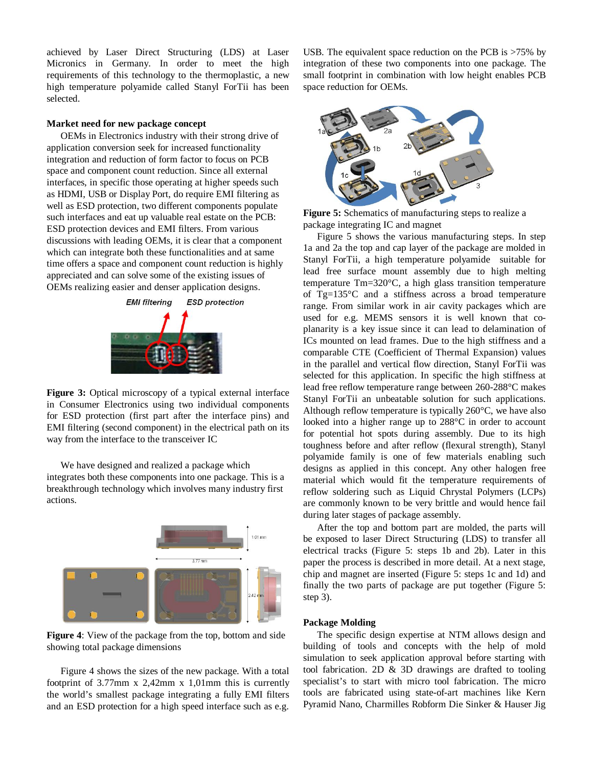achieved by Laser Direct Structuring (LDS) at Laser Micronics in Germany. In order to meet the high requirements of this technology to the thermoplastic, a new high temperature polyamide called Stanyl ForTii has been selected.

#### **Market need for new package concept**

OEMs in Electronics industry with their strong drive of application conversion seek for increased functionality integration and reduction of form factor to focus on PCB space and component count reduction. Since all external interfaces, in specific those operating at higher speeds such as HDMI, USB or Display Port, do require EMI filtering as well as ESD protection, two different components populate such interfaces and eat up valuable real estate on the PCB: ESD protection devices and EMI filters. From various discussions with leading OEMs, it is clear that a component which can integrate both these functionalities and at same time offers a space and component count reduction is highly appreciated and can solve some of the existing issues of OEMs realizing easier and denser application designs.



**Figure 3:** Optical microscopy of a typical external interface in Consumer Electronics using two individual components for ESD protection (first part after the interface pins) and EMI filtering (second component) in the electrical path on its way from the interface to the transceiver IC

We have designed and realized a package which integrates both these components into one package. This is a breakthrough technology which involves many industry first actions.



**Figure 4**: View of the package from the top, bottom and side showing total package dimensions

Figure 4 shows the sizes of the new package. With a total footprint of 3.77mm x 2,42mm x 1,01mm this is currently the world's smallest package integrating a fully EMI filters and an ESD protection for a high speed interface such as e.g.

USB. The equivalent space reduction on the PCB is >75% by integration of these two components into one package. The small footprint in combination with low height enables PCB space reduction for OEMs.



**Figure 5:** Schematics of manufacturing steps to realize a package integrating IC and magnet

Figure 5 shows the various manufacturing steps. In step 1a and 2a the top and cap layer of the package are molded in Stanyl ForTii, a high temperature polyamide suitable for lead free surface mount assembly due to high melting temperature Tm=320°C, a high glass transition temperature of Tg=135°C and a stiffness across a broad temperature range. From similar work in air cavity packages which are used for e.g. MEMS sensors it is well known that coplanarity is a key issue since it can lead to delamination of ICs mounted on lead frames. Due to the high stiffness and a comparable CTE (Coefficient of Thermal Expansion) values in the parallel and vertical flow direction, Stanyl ForTii was selected for this application. In specific the high stiffness at lead free reflow temperature range between 260-288°C makes Stanyl ForTii an unbeatable solution for such applications. Although reflow temperature is typically 260°C, we have also looked into a higher range up to 288°C in order to account for potential hot spots during assembly. Due to its high toughness before and after reflow (flexural strength), Stanyl polyamide family is one of few materials enabling such designs as applied in this concept. Any other halogen free material which would fit the temperature requirements of reflow soldering such as Liquid Chrystal Polymers (LCPs) are commonly known to be very brittle and would hence fail during later stages of package assembly.

After the top and bottom part are molded, the parts will be exposed to laser Direct Structuring (LDS) to transfer all electrical tracks (Figure 5: steps 1b and 2b). Later in this paper the process is described in more detail. At a next stage, chip and magnet are inserted (Figure 5: steps 1c and 1d) and finally the two parts of package are put together (Figure 5: step 3).

#### **Package Molding**

The specific design expertise at NTM allows design and building of tools and concepts with the help of mold simulation to seek application approval before starting with tool fabrication. 2D  $&$  3D drawings are drafted to tooling specialist's to start with micro tool fabrication. The micro tools are fabricated using state-of-art machines like Kern Pyramid Nano, Charmilles Robform Die Sinker & Hauser Jig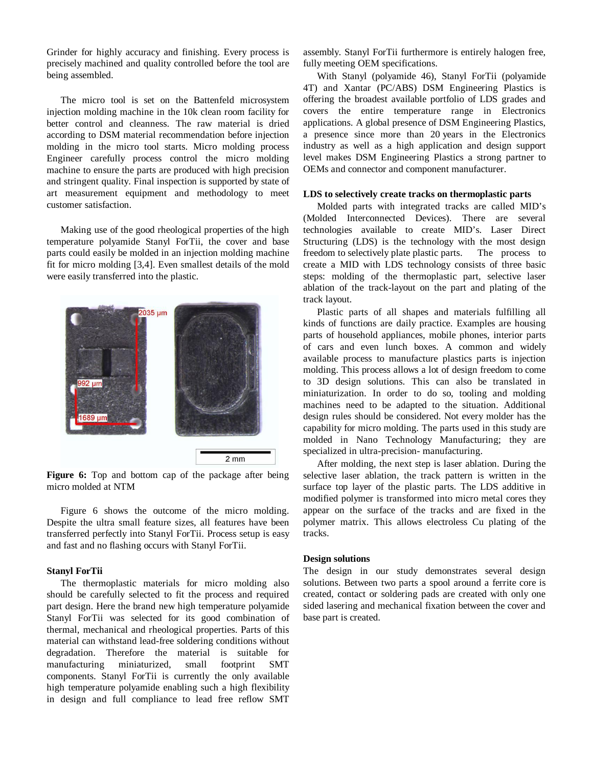Grinder for highly accuracy and finishing. Every process is precisely machined and quality controlled before the tool are being assembled.

The micro tool is set on the Battenfeld microsystem injection molding machine in the 10k clean room facility for better control and cleanness. The raw material is dried according to DSM material recommendation before injection molding in the micro tool starts. Micro molding process Engineer carefully process control the micro molding machine to ensure the parts are produced with high precision and stringent quality. Final inspection is supported by state of art measurement equipment and methodology to meet customer satisfaction.

Making use of the good rheological properties of the high temperature polyamide Stanyl ForTii, the cover and base parts could easily be molded in an injection molding machine fit for micro molding [3,4]. Even smallest details of the mold were easily transferred into the plastic.



**Figure 6:** Top and bottom cap of the package after being micro molded at NTM

Figure 6 shows the outcome of the micro molding. Despite the ultra small feature sizes, all features have been transferred perfectly into Stanyl ForTii. Process setup is easy and fast and no flashing occurs with Stanyl ForTii.

#### **Stanyl ForTii**

The thermoplastic materials for micro molding also should be carefully selected to fit the process and required part design. Here the brand new high temperature polyamide Stanyl ForTii was selected for its good combination of thermal, mechanical and rheological properties. Parts of this material can withstand lead-free soldering conditions without degradation. Therefore the material is suitable for manufacturing miniaturized, small footprint SMT components. Stanyl ForTii is currently the only available high temperature polyamide enabling such a high flexibility in design and full compliance to lead free reflow SMT

assembly. Stanyl ForTii furthermore is entirely halogen free, fully meeting OEM specifications.

With Stanyl (polyamide 46), Stanyl ForTii (polyamide 4T) and Xantar (PC/ABS) DSM Engineering Plastics is offering the broadest available portfolio of LDS grades and covers the entire temperature range in Electronics applications. A global presence of DSM Engineering Plastics, a presence since more than 20 years in the Electronics industry as well as a high application and design support level makes DSM Engineering Plastics a strong partner to OEMs and connector and component manufacturer.

#### **LDS to selectively create tracks on thermoplastic parts**

Molded parts with integrated tracks are called MID's (Molded Interconnected Devices). There are several technologies available to create MID's. Laser Direct Structuring (LDS) is the technology with the most design freedom to selectively plate plastic parts. The process to create a MID with LDS technology consists of three basic steps: molding of the thermoplastic part, selective laser ablation of the track-layout on the part and plating of the track layout.

Plastic parts of all shapes and materials fulfilling all kinds of functions are daily practice. Examples are housing parts of household appliances, mobile phones, interior parts of cars and even lunch boxes. A common and widely available process to manufacture plastics parts is injection molding. This process allows a lot of design freedom to come to 3D design solutions. This can also be translated in miniaturization. In order to do so, tooling and molding machines need to be adapted to the situation. Additional design rules should be considered. Not every molder has the capability for micro molding. The parts used in this study are molded in Nano Technology Manufacturing; they are specialized in ultra-precision- manufacturing.

After molding, the next step is laser ablation. During the selective laser ablation, the track pattern is written in the surface top layer of the plastic parts. The LDS additive in modified polymer is transformed into micro metal cores they appear on the surface of the tracks and are fixed in the polymer matrix. This allows electroless Cu plating of the tracks.

### **Design solutions**

The design in our study demonstrates several design solutions. Between two parts a spool around a ferrite core is created, contact or soldering pads are created with only one sided lasering and mechanical fixation between the cover and base part is created.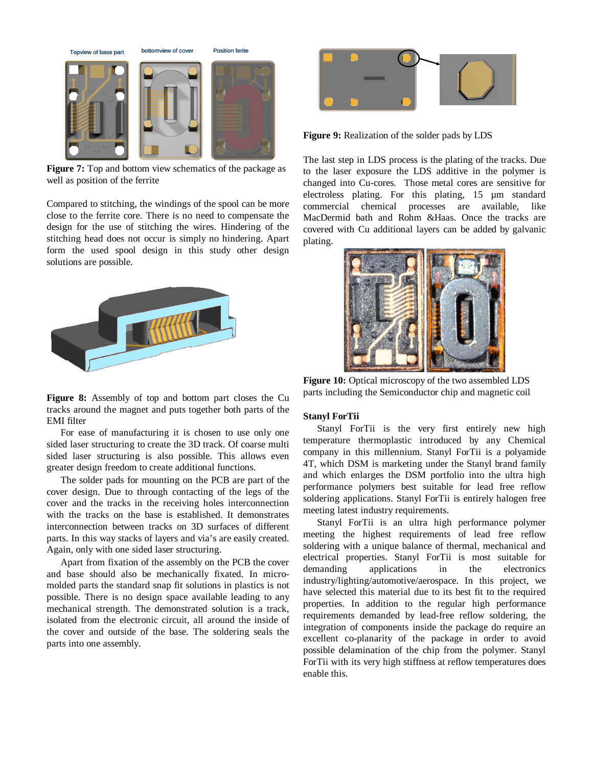

**Figure 7:** Top and bottom view schematics of the package as well as position of the ferrite

Compared to stitching, the windings of the spool can be more close to the ferrite core. There is no need to compensate the design for the use of stitching the wires. Hindering of the stitching head does not occur is simply no hindering. Apart form the used spool design in this study other design solutions are possible.



**Figure 8:** Assembly of top and bottom part closes the Cu tracks around the magnet and puts together both parts of the EMI filter

For ease of manufacturing it is chosen to use only one sided laser structuring to create the 3D track. Of coarse multi sided laser structuring is also possible. This allows even greater design freedom to create additional functions.

The solder pads for mounting on the PCB are part of the cover design. Due to through contacting of the legs of the cover and the tracks in the receiving holes interconnection with the tracks on the base is established. It demonstrates interconnection between tracks on 3D surfaces of different parts. In this way stacks of layers and via's are easily created. Again, only with one sided laser structuring.

Apart from fixation of the assembly on the PCB the cover and base should also be mechanically fixated. In micromolded parts the standard snap fit solutions in plastics is not possible. There is no design space available leading to any mechanical strength. The demonstrated solution is a track, isolated from the electronic circuit, all around the inside of the cover and outside of the base. The soldering seals the parts into one assembly.



**Figure 9:** Realization of the solder pads by LDS

The last step in LDS process is the plating of the tracks. Due to the laser exposure the LDS additive in the polymer is changed into Cu-cores. Those metal cores are sensitive for electroless plating. For this plating, 15 µm standard commercial chemical processes are available, like MacDermid bath and Rohm &Haas. Once the tracks are covered with Cu additional layers can be added by galvanic plating.



**Figure 10:** Optical microscopy of the two assembled LDS parts including the Semiconductor chip and magnetic coil

#### **Stanyl ForTii**

Stanyl ForTii is the very first entirely new high temperature thermoplastic introduced by any Chemical company in this millennium. Stanyl ForTii is a polyamide 4T, which DSM is marketing under the Stanyl brand family and which enlarges the DSM portfolio into the ultra high performance polymers best suitable for lead free reflow soldering applications. Stanyl ForTii is entirely halogen free meeting latest industry requirements.

Stanyl ForTii is an ultra high performance polymer meeting the highest requirements of lead free reflow soldering with a unique balance of thermal, mechanical and electrical properties. Stanyl ForTii is most suitable for demanding applications in the electronics industry/lighting/automotive/aerospace. In this project, we have selected this material due to its best fit to the required properties. In addition to the regular high performance requirements demanded by lead-free reflow soldering, the integration of components inside the package do require an excellent co-planarity of the package in order to avoid possible delamination of the chip from the polymer. Stanyl ForTii with its very high stiffness at reflow temperatures does enable this.